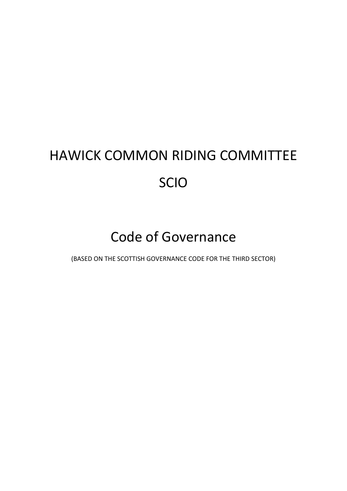# HAWICK COMMON RIDING COMMITTEE SCIO

# Code of Governance

(BASED ON THE SCOTTISH GOVERNANCE CODE FOR THE THIRD SECTOR)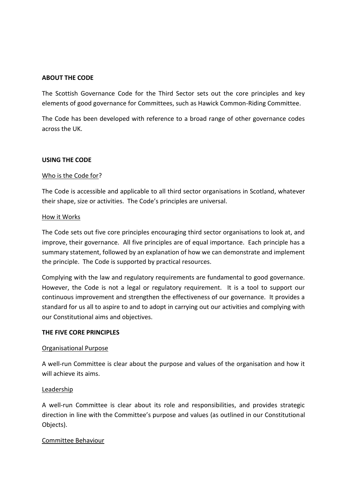#### **ABOUT THE CODE**

The Scottish Governance Code for the Third Sector sets out the core principles and key elements of good governance for Committees, such as Hawick Common-Riding Committee.

The Code has been developed with reference to a broad range of other governance codes across the UK.

#### **USING THE CODE**

#### Who is the Code for?

The Code is accessible and applicable to all third sector organisations in Scotland, whatever their shape, size or activities. The Code's principles are universal.

#### How it Works

The Code sets out five core principles encouraging third sector organisations to look at, and improve, their governance. All five principles are of equal importance. Each principle has a summary statement, followed by an explanation of how we can demonstrate and implement the principle. The Code is supported by practical resources.

Complying with the law and regulatory requirements are fundamental to good governance. However, the Code is not a legal or regulatory requirement. It is a tool to support our continuous improvement and strengthen the effectiveness of our governance. It provides a standard for us all to aspire to and to adopt in carrying out our activities and complying with our Constitutional aims and objectives.

#### **THE FIVE CORE PRINCIPLES**

#### Organisational Purpose

A well-run Committee is clear about the purpose and values of the organisation and how it will achieve its aims.

#### Leadership

A well-run Committee is clear about its role and responsibilities, and provides strategic direction in line with the Committee's purpose and values (as outlined in our Constitutional Objects).

#### Committee Behaviour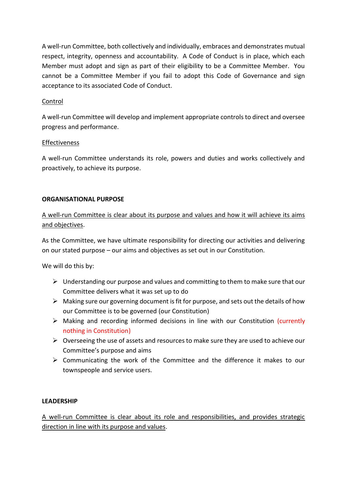A well-run Committee, both collectively and individually, embraces and demonstrates mutual respect, integrity, openness and accountability. A Code of Conduct is in place, which each Member must adopt and sign as part of their eligibility to be a Committee Member. You cannot be a Committee Member if you fail to adopt this Code of Governance and sign acceptance to its associated Code of Conduct.

# Control

A well-run Committee will develop and implement appropriate controls to direct and oversee progress and performance.

# Effectiveness

A well-run Committee understands its role, powers and duties and works collectively and proactively, to achieve its purpose.

#### **ORGANISATIONAL PURPOSE**

# A well-run Committee is clear about its purpose and values and how it will achieve its aims and objectives.

As the Committee, we have ultimate responsibility for directing our activities and delivering on our stated purpose – our aims and objectives as set out in our Constitution.

We will do this by:

- $\triangleright$  Understanding our purpose and values and committing to them to make sure that our Committee delivers what it was set up to do
- $\triangleright$  Making sure our governing document is fit for purpose, and sets out the details of how our Committee is to be governed (our Constitution)
- ➢ Making and recording informed decisions in line with our Constitution (currently nothing in Constitution)
- ➢ Overseeing the use of assets and resources to make sure they are used to achieve our Committee's purpose and aims
- ➢ Communicating the work of the Committee and the difference it makes to our townspeople and service users.

# **LEADERSHIP**

A well-run Committee is clear about its role and responsibilities, and provides strategic direction in line with its purpose and values.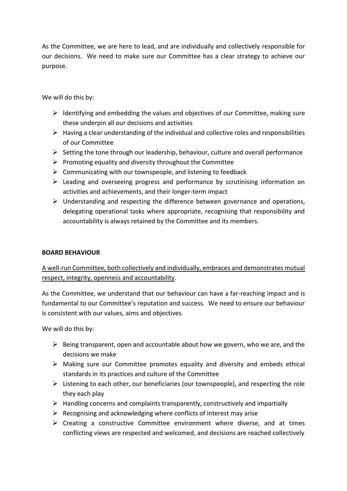As the Committee, we are here to lead, and are individually and collectively responsible for our decisions. We need to make sure our Committee has a clear strategy to achieve our purpose.

We will do this by:

- $\triangleright$  Identifying and embedding the values and objectives of our Committee, making sure these underpin all our decisions and activities
- $\triangleright$  Having a clear understanding of the individual and collective roles and responsibilities of our Committee
- ➢ Setting the tone through our leadership, behaviour, culture and overall performance
- $\triangleright$  Promoting equality and diversity throughout the Committee
- $\triangleright$  Communicating with our townspeople, and listening to feedback
- $\triangleright$  Leading and overseeing progress and performance by scrutinising information on activities and achievements, and their longer-term impact
- $\triangleright$  Understanding and respecting the difference between governance and operations, delegating operational tasks where appropriate, recognising that responsibility and accountability is always retained by the Committee and its members.

# **BOARD BEHAVIOUR**

# A well-run Committee, both collectively and individually, embraces and demonstrates mutual respect, integrity, openness and accountability.

As the Committee, we understand that our behaviour can have a far-reaching impact and is fundamental to our Committee's reputation and success. We need to ensure our behaviour is consistent with our values, aims and objectives.

We will do this by:

- $\triangleright$  Being transparent, open and accountable about how we govern, who we are, and the decisions we make
- ➢ Making sure our Committee promotes equality and diversity and embeds ethical standards in its practices and culture of the Committee
- $\triangleright$  Listening to each other, our beneficiaries (our townspeople), and respecting the role they each play
- $\triangleright$  Handling concerns and complaints transparently, constructively and impartially
- $\triangleright$  Recognising and acknowledging where conflicts of interest may arise
- $\triangleright$  Creating a constructive Committee environment where diverse, and at times conflicting views are respected and welcomed, and decisions are reached collectively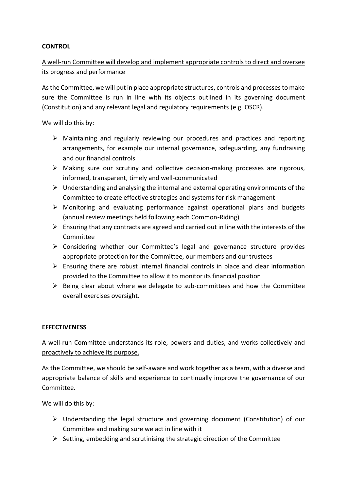#### **CONTROL**

# A well-run Committee will develop and implement appropriate controls to direct and oversee its progress and performance

As the Committee, we will put in place appropriate structures, controls and processes to make sure the Committee is run in line with its objects outlined in its governing document (Constitution) and any relevant legal and regulatory requirements (e.g. OSCR).

We will do this by:

- $\triangleright$  Maintaining and regularly reviewing our procedures and practices and reporting arrangements, for example our internal governance, safeguarding, any fundraising and our financial controls
- $\triangleright$  Making sure our scrutiny and collective decision-making processes are rigorous, informed, transparent, timely and well-communicated
- $\triangleright$  Understanding and analysing the internal and external operating environments of the Committee to create effective strategies and systems for risk management
- ➢ Monitoring and evaluating performance against operational plans and budgets (annual review meetings held following each Common-Riding)
- $\triangleright$  Ensuring that any contracts are agreed and carried out in line with the interests of the Committee
- ➢ Considering whether our Committee's legal and governance structure provides appropriate protection for the Committee, our members and our trustees
- $\triangleright$  Ensuring there are robust internal financial controls in place and clear information provided to the Committee to allow it to monitor its financial position
- $\triangleright$  Being clear about where we delegate to sub-committees and how the Committee overall exercises oversight.

# **EFFECTIVENESS**

# A well-run Committee understands its role, powers and duties, and works collectively and proactively to achieve its purpose.

As the Committee, we should be self-aware and work together as a team, with a diverse and appropriate balance of skills and experience to continually improve the governance of our Committee.

We will do this by:

- ➢ Understanding the legal structure and governing document (Constitution) of our Committee and making sure we act in line with it
- $\triangleright$  Setting, embedding and scrutinising the strategic direction of the Committee